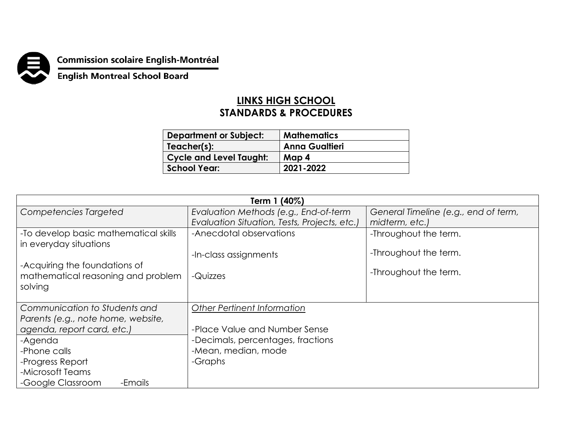

**Commission scolaire English-Montréal<br>English Montreal School Board** 

## **LINKS HIGH SCHOOL STANDARDS & PROCEDURES**

| <b>Department or Subject:</b>  | <b>Mathematics</b>    |
|--------------------------------|-----------------------|
| Teacher(s):                    | <b>Anna Gualtieri</b> |
| <b>Cycle and Level Taught:</b> | Map 4                 |
| School Year:                   | 2021-2022             |

| Term 1 (40%)                                                                   |                                              |                                      |  |
|--------------------------------------------------------------------------------|----------------------------------------------|--------------------------------------|--|
| Competencies Targeted                                                          | Evaluation Methods (e.g., End-of-term        | General Timeline (e.g., end of term, |  |
|                                                                                | Evaluation Situation, Tests, Projects, etc.) | midterm, etc.)                       |  |
| -To develop basic mathematical skills<br>in everyday situations                | -Anecdotal observations                      | -Throughout the term.                |  |
|                                                                                | -In-class assignments                        | -Throughout the term.                |  |
| -Acquiring the foundations of<br>mathematical reasoning and problem<br>solving | -Quizzes                                     | -Throughout the term.                |  |
| Communication to Students and                                                  | <b>Other Pertinent Information</b>           |                                      |  |
| Parents (e.g., note home, website,                                             |                                              |                                      |  |
| agenda, report card, etc.)                                                     | -Place Value and Number Sense                |                                      |  |
| -Agenda                                                                        | -Decimals, percentages, fractions            |                                      |  |
| -Phone calls                                                                   | -Mean, median, mode                          |                                      |  |
| -Progress Report                                                               | -Graphs                                      |                                      |  |
| -Microsoft Teams                                                               |                                              |                                      |  |
| -Google Classroom<br>-Emails                                                   |                                              |                                      |  |